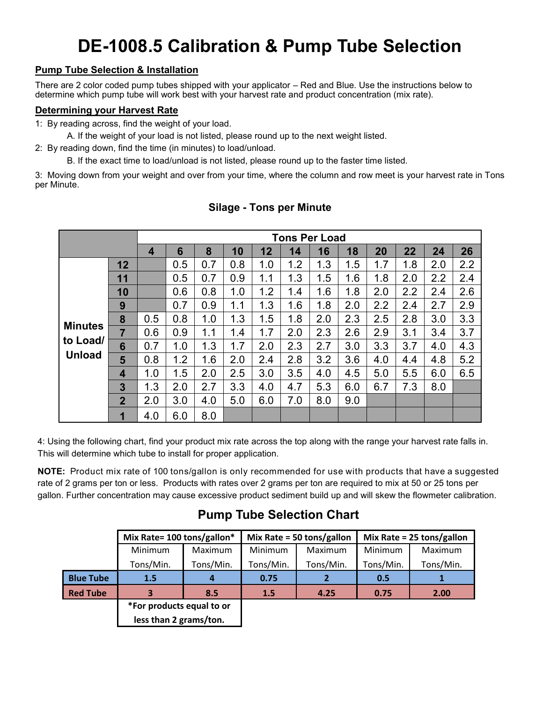# **DE-1008.5 Calibration & Pump Tube Selection**

## **Pump Tube Selection & Installation**

There are 2 color coded pump tubes shipped with your applicator – Red and Blue. Use the instructions below to determine which pump tube will work best with your harvest rate and product concentration (mix rate).

#### **Determining your Harvest Rate**

1: By reading across, find the weight of your load.

A. If the weight of your load is not listed, please round up to the next weight listed.

2: By reading down, find the time (in minutes) to load/unload.

B. If the exact time to load/unload is not listed, please round up to the faster time listed.

3: Moving down from your weight and over from your time, where the column and row meet is your harvest rate in Tons per Minute.

|                                             | <b>Tons Per Load</b> |                |     |     |     |     |     |     |     |     |     |     |     |
|---------------------------------------------|----------------------|----------------|-----|-----|-----|-----|-----|-----|-----|-----|-----|-----|-----|
|                                             |                      | $\overline{4}$ | 6   | 8   | 10  | 12  | 14  | 16  | 18  | 20  | 22  | 24  | 26  |
| <b>Minutes</b><br>to Load/<br><b>Unload</b> | 12                   |                | 0.5 | 0.7 | 0.8 | 1.0 | 1.2 | 1.3 | 1.5 | 1.7 | 1.8 | 2.0 | 2.2 |
|                                             | 11                   |                | 0.5 | 0.7 | 0.9 | 1.1 | 1.3 | 1.5 | 1.6 | 1.8 | 2.0 | 2.2 | 2.4 |
|                                             | 10                   |                | 0.6 | 0.8 | 1.0 | 1.2 | 1.4 | 1.6 | 1.8 | 2.0 | 2.2 | 2.4 | 2.6 |
|                                             | 9                    |                | 0.7 | 0.9 | 1.1 | 1.3 | 1.6 | 1.8 | 2.0 | 2.2 | 2.4 | 2.7 | 2.9 |
|                                             | 8                    | 0.5            | 0.8 | 1.0 | 1.3 | 1.5 | 1.8 | 2.0 | 2.3 | 2.5 | 2.8 | 3.0 | 3.3 |
|                                             | $\overline{7}$       | 0.6            | 0.9 | 1.1 | 1.4 | 1.7 | 2.0 | 2.3 | 2.6 | 2.9 | 3.1 | 3.4 | 3.7 |
|                                             | 6                    | 0.7            | 1.0 | 1.3 | 1.7 | 2.0 | 2.3 | 2.7 | 3.0 | 3.3 | 3.7 | 4.0 | 4.3 |
|                                             | 5                    | 0.8            | 1.2 | 1.6 | 2.0 | 2.4 | 2.8 | 3.2 | 3.6 | 4.0 | 4.4 | 4.8 | 5.2 |
|                                             | 4                    | 1.0            | 1.5 | 2.0 | 2.5 | 3.0 | 3.5 | 4.0 | 4.5 | 5.0 | 5.5 | 6.0 | 6.5 |
|                                             | 3                    | 1.3            | 2.0 | 2.7 | 3.3 | 4.0 | 4.7 | 5.3 | 6.0 | 6.7 | 7.3 | 8.0 |     |
|                                             | $\overline{2}$       | 2.0            | 3.0 | 4.0 | 5.0 | 6.0 | 7.0 | 8.0 | 9.0 |     |     |     |     |
|                                             | 1                    | 4.0            | 6.0 | 8.0 |     |     |     |     |     |     |     |     |     |

## **Silage - Tons per Minute**

4: Using the following chart, find your product mix rate across the top along with the range your harvest rate falls in. This will determine which tube to install for proper application.

**NOTE:** Product mix rate of 100 tons/gallon is only recommended for use with products that have a suggested rate of 2 grams per ton or less. Products with rates over 2 grams per ton are required to mix at 50 or 25 tons per gallon. Further concentration may cause excessive product sediment build up and will skew the flowmeter calibration.

# **Pump Tube Selection Chart**

|                  | Mix Rate= 100 tons/gallon* |            |           | Mix Rate = 50 tons/gallon | Mix Rate = $25 \text{ tons/gallon}$ |           |  |
|------------------|----------------------------|------------|-----------|---------------------------|-------------------------------------|-----------|--|
|                  | Minimum                    | Maximum    | Minimum   | Maximum                   | Minimum                             | Maximum   |  |
|                  | Tons/Min.                  | Tons/Min.  | Tons/Min. | Tons/Min.                 | Tons/Min.                           | Tons/Min. |  |
| <b>Blue Tube</b> | 1.5                        |            | 0.75      |                           | 0.5                                 |           |  |
| <b>Red Tube</b>  |                            | 1.5<br>8.5 |           | 4.25                      | 0.75                                | 2.00      |  |
|                  | *For products equal to or  |            |           |                           |                                     |           |  |
|                  | less than 2 grams/ton.     |            |           |                           |                                     |           |  |